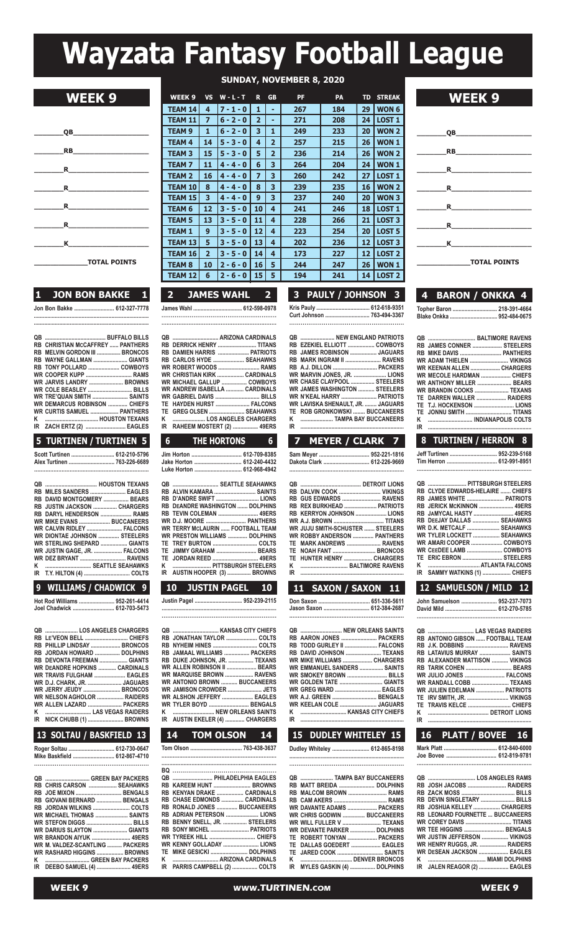# **Wayzata Fantasy Football League**

| QB                                                                                                                                                                                                                                                                                                           |
|--------------------------------------------------------------------------------------------------------------------------------------------------------------------------------------------------------------------------------------------------------------------------------------------------------------|
| <b>EXPLORER SERVICE SERVICE SERVICE SERVICE SERVICE SERVICE SERVICE SERVICE SERVICE SERVICE SERVICE SERVICE SERVICE</b>                                                                                                                                                                                      |
| $\mathbf R$ and $\mathbf R$ and $\mathbf R$ are set of $\mathbf R$ and $\mathbf R$ are set of $\mathbf R$ and $\mathbf R$ are set of $\mathbf R$ and $\mathbf R$ are set of $\mathbf R$ and $\mathbf R$ are set of $\mathbf R$ and $\mathbf R$ are set of $\mathbf R$ and $\mathbf R$ are set of $\mathbf R$ |
| $\mathbf R$ and $\mathbf R$ and $\mathbf R$ are set of $\mathbf R$ and $\mathbf R$ are set of $\mathbf R$ and $\mathbf R$ are set of $\mathbf R$ and $\mathbf R$ are set of $\mathbf R$ and $\mathbf R$ are set of $\mathbf R$ and $\mathbf R$ are set of $\mathbf R$ and $\mathbf R$ are set of $\mathbf R$ |
| $\mathbf R$                                                                                                                                                                                                                                                                                                  |
| $\mathbf R$ and $\mathbf R$ and $\mathbf R$ are set of $\mathbf R$ and $\mathbf R$ are set of $\mathbf R$ and $\mathbf R$ are set of $\mathbf R$ and $\mathbf R$ are set of $\mathbf R$ and $\mathbf R$ are set of $\mathbf R$ and $\mathbf R$ are set of $\mathbf R$ and $\mathbf R$ are set of $\mathbf R$ |
| $\kappa$ and $\kappa$ and $\kappa$ and $\kappa$ and $\kappa$ and $\kappa$ and $\kappa$ and $\kappa$ and $\kappa$ and $\kappa$ and $\kappa$ and $\kappa$ and $\kappa$ and $\kappa$ and $\kappa$ and $\kappa$ and $\kappa$ and $\kappa$ and $\kappa$ and $\kappa$ and $\kappa$ and $\kappa$ and                |
| <b>TOTAL POINTS</b>                                                                                                                                                                                                                                                                                          |

**WEEK 9 WEEK <sup>9</sup> VS <sup>W</sup> - <sup>L</sup> - <sup>T</sup> <sup>R</sup> GB PF PA TD STREAK WEEK 9**

| 1 | <b>JON BON BAKKE</b> 1      |  |
|---|-----------------------------|--|
|   | Jon Bon Bakke  612-327-7778 |  |

**............................................................................. .............................................................................**

| <b>E TURTINEN / TURTINEN E</b>          |  |
|-----------------------------------------|--|
| IR ZACH ERTZ (2)  EAGLES                |  |
|                                         |  |
| <b>WR CURTIS SAMUEL  PANTHERS</b>       |  |
| <b>WR DEMARCUS ROBINSON  CHIEFS</b>     |  |
| WR TRE'QUAN SMITH  SAINTS               |  |
| WR COLE BEASLEY  BILLS                  |  |
| WR JARVIS LANDRY  BROWNS                |  |
| <b>WR COOPER KUPP  RAMS</b>             |  |
|                                         |  |
| RB WAYNE GALLMAN  GIANTS                |  |
| RB MELVIN GORDON III  BRONCOS           |  |
| <b>RB CHRISTIAN MCCAFFREY  PANTHERS</b> |  |
|                                         |  |
|                                         |  |

#### **5 TURTINEN / TURTINEN 5**

| Scott Turtinen  612-210-5796 |  |
|------------------------------|--|
| Alex Turtinen  763-226-6689  |  |
|                              |  |

| RB DAVID MONTGOMERY  BEARS         |  |
|------------------------------------|--|
| RB  JUSTIN JACKSON ……………… CHARGERS |  |
| RB DARYL HENDERSON  RAMS           |  |
| WR MIKE EVANS  BUCCANEERS          |  |
| WR_CALVIN RIDLEY  FALCONS          |  |
| WR DIONTAE JOHNSON  STEELERS       |  |
| WR STERLING SHEPARD  GIANTS        |  |
| WR JUSTIN GAGE, JR.  FALCONS       |  |
| WR DEZ BRYANT  RAVENS              |  |
| K   SEATTLE SEAHAWKS               |  |
|                                    |  |
|                                    |  |

#### **9 WILLIAMS / CHADWICK 9**

**Hot Rod Williams ........................ 952-261-4414 Joel Chadwick ............................ 612-703-5473**

|  | QB  LOS ANGELES CHARGERS             |
|--|--------------------------------------|
|  |                                      |
|  | RB PHILLIP LINDSAY  BRONCOS          |
|  | RB JORDAN HOWARD  DOLPHINS           |
|  | RB DEVONTA FREEMAN  GIANTS           |
|  | <b>WR DEANDRE HOPKINS  CARDINALS</b> |
|  | WR TRAVIS FULGHAM  EAGLES            |
|  | <b>WR D.J. CHARK, JR.  JAGUARS</b>   |
|  | WR JERRY JEUDY  BRONCOS              |
|  | <b>WR NELSON AGHOLOR  RAIDERS</b>    |
|  | WR ALLEN LAZARD  PACKERS             |
|  |                                      |
|  | IR NICK CHUBB (1)  BROWNS            |
|  |                                      |

### **13 SOLTAU / BASKFIELD 13**

| Roger Soltau  612-730-0647   |  |
|------------------------------|--|
| Mike Baskfield  612-867-4710 |  |
|                              |  |

|  | QB  GREEN BAY PACKERS             |
|--|-----------------------------------|
|  | RB CHRIS CARSON  SEAHAWKS         |
|  |                                   |
|  | RB GIOVANI BERNARD  BENGALS       |
|  | RB JORDAN WILKINS  COLTS          |
|  | <b>WR MICHAEL THOMAS  SAINTS</b>  |
|  |                                   |
|  |                                   |
|  | <b>WR BRANDON AIYUK  49ERS</b>    |
|  | WR M. VALDEZ-SCANTLING  PACKERS   |
|  | <b>WR RASHARD HIGGINS  BROWNS</b> |
|  |                                   |
|  | IR DEEBO SAMUEL (4)  49ERS        |
|  |                                   |

| <b>SUNDAY, NOVEMBER 8, 2020</b> |                |             |                |                |           |           |           |               |
|---------------------------------|----------------|-------------|----------------|----------------|-----------|-----------|-----------|---------------|
| WEEK <sub>9</sub>               | <b>VS</b>      | $W - L - T$ | R.             | <b>GB</b>      | <b>PF</b> | <b>PA</b> | <b>TD</b> | <b>STREAK</b> |
| <b>TEAM 14</b>                  | 4              | $7 - 1 - 0$ | 1              | ۰              | 267       | 184       | 29        | <b>WON 6</b>  |
| <b>TEAM 11</b>                  | 7              | $6 - 2 - 0$ | $\overline{2}$ | -              | 271       | 208       | 24        | <b>LOST 1</b> |
| <b>TEAM 9</b>                   | 1              | $6 - 2 - 0$ | 3              | 1              | 249       | 233       | 20        | <b>WON 2</b>  |
| <b>TEAM 4</b>                   | 14             | $5 - 3 - 0$ | 4              | $\overline{2}$ | 257       | 215       | 26        | <b>WON1</b>   |
| <b>TEAM 3</b>                   | 15             | $5 - 3 - 0$ | 5              | $\overline{2}$ | 236       | 214       | 26        | <b>WON 2</b>  |
| <b>TEAM7</b>                    | 11             | $4 - 4 - 0$ | 6              | 3              | 264       | 204       | 24        | <b>WON1</b>   |
| <b>TEAM 2</b>                   | 16             | $4 - 4 - 0$ | 7              | 3              | 260       | 242       | 27        | <b>LOST 1</b> |
| <b>TEAM 10</b>                  | 8              | $4 - 4 - 0$ | 8              | 3              | 239       | 235       | 16        | <b>WON 2</b>  |
| <b>TEAM 15</b>                  | 3              | $4 - 4 - 0$ | 9              | 3              | 237       | 240       | 20        | <b>WON3</b>   |
| <b>TEAM 6</b>                   | 12             | $3 - 5 - 0$ | 10             | 4              | 241       | 246       | 18        | <b>LOST 1</b> |
| <b>TEAM 5</b>                   | 13             | $3 - 5 - 0$ | 11             | 4              | 228       | 266       | 21        | <b>LOST 3</b> |
| <b>TEAM 1</b>                   | 9              | $3 - 5 - 0$ | 12             | 4              | 223       | 254       | 20        | <b>LOST 5</b> |
| <b>TEAM 13</b>                  | 5              | $3 - 5 - 0$ | 13             | 4              | 202       | 236       | 12        | <b>LOST 3</b> |
| <b>TEAM 16</b>                  | $\overline{2}$ | $3 - 5 - 0$ | 14             | 4              | 173       | 227       | 12        | <b>LOST 2</b> |
| <b>TEAM 8</b>                   | 10             | $2 - 6 - 0$ | 16             | 5              | 244       | 247       | 26        | <b>WON1</b>   |
| <b>TEAM 12</b>                  | 6              | $2 - 6 - 0$ | 15             | 5              | 194       | 241       | 14        | <b>LOST 2</b> |

**2 JAMES WAHL 2 3 PAULY / JOHNSON 3 4 BARON / ONKKA 4**

**James Wahl ................................. 612-598-0978 ............................................................. ....................................................................**

**qB ............................... ARIZONA CARDINALS RB DERRICK HENRY .......................... TITANS RB DAMIEN HARRIS ..................... PATRIOTS RB CARLOS HYDE ..................... SEAHAWKS**

**WR MICHAEL GALLUP ................. COWBOYS WR ANDREW ISABELLA ............ CARDINALS WR GABRIEL DAVIS .............................. BILLS TE HAYDEN HURST ....................... FALCONS TE GREG OLSEN ........................ SEAHAWKS K ...................... LOS ANGELES CHARGERS IR RAHEEM MOSTERT (2) ................. 49ERS**

**Jim Horton .................................. 612-709-8385 Jake Horton ................................ 612-240-4432**

**qB ............................... SEATTLE SEAHAWKS RB ALVIN KAMARA ............................ SAINTS**

**RB DEANDRE WASHINGTON ....... DOLPHINS RB TEVIN COLEMAN ........................... 49ERS WR D.J. MOORE ........................... PANTHERS WR TERRY MCLAURIN ...... FOOTBALL TEAM WR PRESTON WILLIAMS ............. DOLPHINS TE TREY BURTON .............................. COLTS TE JIMMY GRAHAM ........................... BEARS**

**Tom Olson ................................... 763-438-3637 ....................................................................... ......................................................................... Bq ..................................................... qB ........................... PHILADELPHIA EAGLES RB KAREEM HUNT ......................... BROWNS RB KENYAN DRAKE .................. CARDINALS RB CHASE EDMONDS ............... CARDINALS RB RONALD JONES .............. BUCCANEERS**

**RB ADRIAN PETERSON** .............. **RB BENNY SNELL, JR. ................ STEELERS RB SONY MICHEL .......................... PATRIOTS WR TYREEK HILL ............................... CHIEFS WR KENNY GOLLADAY ........................ LIONS TE MIKE GESICKI ......................... DOLPHINS K ............................... ARIZONA CARDINALS IR PARRIS CAMPBELL (2) ................. COLTS**

**K .......................... PITTSBURGH STEELERS**

**ROBERT WOODS** ... **WR** CHRISTIAN KIRK ....

**Luke Horton ................................ 612-968-4942**

**RB** D'ANDRE SWIFT .....<br>**RB** DEANDRE WASHING<br>**RB TEVIN COLEMAN** ...

**TE JORDAN REED ............................... 49ERS**

**IRELEVISHINE HOOPER** (3) ......

| 3 PAULY / JOHNSON 3        |  |  |  |  |  |  |  |  |
|----------------------------|--|--|--|--|--|--|--|--|
| Kris Pauly  612-618-9351   |  |  |  |  |  |  |  |  |
| Curt Johnson  763-494-3367 |  |  |  |  |  |  |  |  |
|                            |  |  |  |  |  |  |  |  |

|    | <b>QB  NEW ENGLAND PATRIOTS</b>      |  |
|----|--------------------------------------|--|
|    | RB EZEKIEL ELLIOTT  COWBOYS          |  |
|    | RB JAMES ROBINSON  JAGUARS           |  |
|    | RB MARK INGRAM II  RAVENS            |  |
|    |                                      |  |
|    | WR MARVIN JONES, JR.  LIONS          |  |
|    | WR CHASE CLAYPOOL  STEELERS          |  |
|    | <b>WR JAMES WASHINGTON  STEELERS</b> |  |
|    | WR N'KEAL HARRY  PATRIOTS            |  |
|    | WR LAVISKA SHENAULT, JR.  JAGUARS    |  |
|    | TE ROB GRONKOWSKI  BUCCANEERS        |  |
| ĸ  | TAMPA BAY BUCCANEERS                 |  |
| IR |                                      |  |

## **6 THE HORTONS 6 7 MEYER / CLARK 7**

| Dakota Clark  612-226-9669 |  |
|----------------------------|--|
|                            |  |

|    | RB DALVIN COOK  VIKINGS                 |  |
|----|-----------------------------------------|--|
|    | RB GUS EDWARDS  RAVENS                  |  |
|    | RB REX BURKHEAD  PATRIOTS               |  |
|    | RB KERRYON JOHNSON  LIONS               |  |
|    |                                         |  |
|    | <b>WR JUJU SMITH-SCHUSTER  STEELERS</b> |  |
|    | <b>WR ROBBY ANDERSON  PANTHERS</b>      |  |
|    | TE MARK ANDREWS  RAVENS                 |  |
|    | TE NOAH FANT  BRONCOS                   |  |
|    | TE HUNTER HENRY  CHARGERS               |  |
| К  | <b>EXAMPLE THE RAITIMORE RAVENS</b>     |  |
| IR |                                         |  |

| JUSTIN PAGEL<br>$10-10$<br><b>10</b>                                                                                                                                                                                                                                                                                                                                        | 11 SAXON / SAXON 11                                                                                                                                                                                             | 12 SAMUELSON / MILD 12                                                                                                                                                                                                                   |
|-----------------------------------------------------------------------------------------------------------------------------------------------------------------------------------------------------------------------------------------------------------------------------------------------------------------------------------------------------------------------------|-----------------------------------------------------------------------------------------------------------------------------------------------------------------------------------------------------------------|------------------------------------------------------------------------------------------------------------------------------------------------------------------------------------------------------------------------------------------|
| Justin Pagel  952-239-2115                                                                                                                                                                                                                                                                                                                                                  | Jason Saxon  612-384-2687                                                                                                                                                                                       | John Samuelson  952-237-707                                                                                                                                                                                                              |
| RB  JONATHAN TAYLOR ………………… COLTS<br>RB NYHEIM HINES  COLTS<br>RB  JAMAAL WILLIAMS  PACKERS<br>RB DUKE JOHNSON, JR.  TEXANS<br>WR ALLEN ROBINSON II  BEARS<br>WR MARQUISE BROWN  RAVENS<br><b>NR ANTONIO BROWN  BUCCANEERS</b><br>WR JAMISON CROWDER  JETS<br>WR ALSHON JEFFERY  EAGLES<br>WR TYLER BOYD  BENGALS<br>K  NEW ORLEANS SAINTS<br>R AUSTIN EKELER (4)  CHARGERS | QB  NEW ORLEANS SAINTS<br>RB TODD GURLEY II  FALCONS<br>RB DAVID JOHNSON  TEXANS<br>WR MIKE WILLIAMS  CHARGERS<br><b>WR EMMANUEL SANDERS  SAINTS</b><br>WR A.J. GREEN  BENGALS<br>WR KEELAN COLE  JAGUARS<br>IR | <b>RB ANTONIO GIBSON  FOOTBALL TEAL</b><br>RB LATAVIUS MURRAY  SAINT<br><b>RB ALEXANDER MATTISON  VIKING</b><br>WR JULIO JONES  FALCON<br>WR RANDALL COBB  TEXAN<br><b>WR JULIEN EDELMAN  PATRIOT</b><br>TE IRV SMITH, JR.  VIKING<br>IR |

**Dudley Whiteley ......................... 612-865-8198 .............................................................................**

| QB  TAMPA BAY BUCCANEERS      |  |
|-------------------------------|--|
| RB MATT BREIDA  DOLPHINS      |  |
| RB MALCOM BROWN  RAMS         |  |
|                               |  |
| WR DAVANTE ADAMS  PACKERS     |  |
| WR CHRIS GODWIN  BUCCANEERS   |  |
| WR WILL FULLER V  TEXANS      |  |
| WR DEVANTE PARKER  DOLPHINS   |  |
| TE ROBERT TONYAN  PACKERS     |  |
| TE DALLAS GOEDERT  EAGLES     |  |
| TE JARED COOK  SAINTS         |  |
|                               |  |
| IR MYLES GASKIN (4)  DOLPHINS |  |
|                               |  |

| WEI | – ∎ | z | f |
|-----|-----|---|---|
|     |     |   |   |



|  | 4 BARON / ONKKA 4          |
|--|----------------------------|
|  | Topher Baron  218-391-4664 |

#### **Blake Onkka ................................ 952-484-0675**

|    | RB JAMES CONNER  STEELERS |
|----|---------------------------|
|    | RB MIKE DAVIS  PANTHERS   |
|    | WR ADAM THIELEN  VIKINGS  |
|    | WR KEENAN ALLEN  CHARGERS |
|    | WR MECOLE HARDMAN  CHIEFS |
|    | WR ANTHONY MILLER  BEARS  |
|    | WR BRANDIN COOKS  TEXANS  |
|    | TE DARREN WALLER  RAIDERS |
|    |                           |
|    | TE JONNU SMITH  TITANS    |
| ĸ  |                           |
| IR |                           |
|    |                           |

| 8 TURTINEN / HERRON 8       |  |
|-----------------------------|--|
| Jeff Turtinen  952-239-5168 |  |

|  | Tim Herron  612-991-8951 |
|--|--------------------------|
|  |                          |

| QB  PITTSBURGH STEELERS          |  |
|----------------------------------|--|
| RB CLYDE EDWARDS-HELAIRE  CHIEFS |  |
| RB JAMES WHITE  PATRIOTS         |  |
| RB JERICK MCKINNON  49ERS        |  |
| RB JAMYCAL HASTY  49ERS          |  |
| RB DEEJAY DALLAS  SEAHAWKS       |  |
| WR D.K. METCALF  SEAHAWKS        |  |
| WR TYLER LOCKETT  SEAHAWKS       |  |
| WR AMARI COOPER  COWBOYS         |  |
| WR CEEDEE LAMB  COWBOYS          |  |
| TE ERIC EBRON  STEELERS          |  |
|                                  |  |
| IR SAMMY WATKINS (1)  CHIEFS     |  |
|                                  |  |

| John Samuelson  952-237-7073 |  |
|------------------------------|--|
| David Mild  612-270-5785     |  |
|                              |  |

| QB  LAS VEGAS RAIDERS                 |  |
|---------------------------------------|--|
| RB ANTONIO GIBSON  FOOTBALL TEAM      |  |
| <b>RB J.K. DOBBINS  RAVENS</b>        |  |
| RB LATAVIUS MURRAY  SAINTS            |  |
| <b>RB ALEXANDER MATTISON  VIKINGS</b> |  |
| RB TARIK COHEN  BEARS                 |  |
| WR JULIO JONES  FALCONS               |  |
| WR RANDALL COBB  TEXANS               |  |
| WR JULIEN EDELMAN  PATRIOTS           |  |
| TE IRV SMITH, JR.  VIKINGS            |  |
|                                       |  |
|                                       |  |
|                                       |  |
|                                       |  |

### **14 TOM OLSON 14 15 DUDLEY WHITELEY 15 16 PLATT / BOVEE 16**

**Mark Platt .................................... 612-840-6000 Joe Bovee .................................. 612-819-9781 .....................................................................**

| RB JOSH JACOBS  RAIDERS                 |  |
|-----------------------------------------|--|
|                                         |  |
| RB DEVIN SINGLETARY  BILLS              |  |
| RB JOSHUA KELLEY  CHARGERS              |  |
| <b>RB LEONARD FOURNETTE  BUCCANEERS</b> |  |
| <b>WR COREY DAVIS  TITANS</b>           |  |
| WR TEE HIGGINS  BENGALS                 |  |
| WR JUSTIN JEFFERSON  VIKINGS            |  |
| WR HENRY RUGGS, JR.  RAIDERS            |  |
| WR DESEAN JACKSON  EAGLES               |  |
|                                         |  |
| IR JALEN REAGOR (2)  EAGLES             |  |